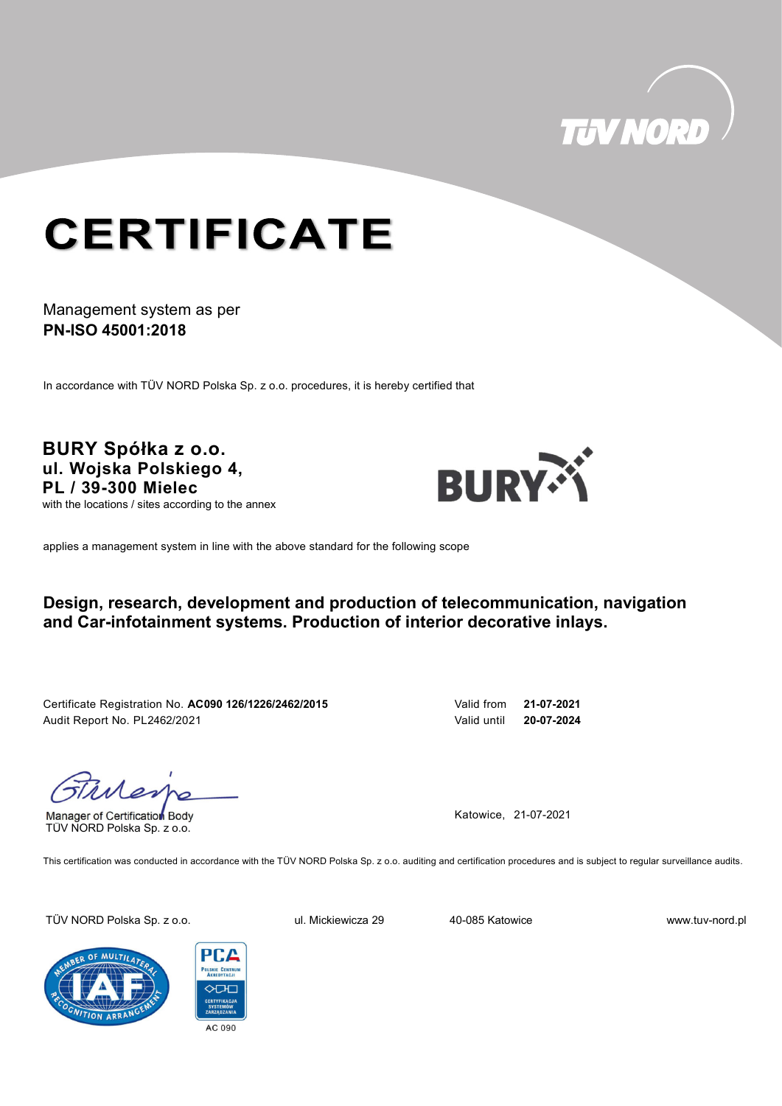

# **CERTIFICATE**

### Management system as per PN-ISO 45001:2018

In accordance with TÜV NORD Polska Sp. z o.o. procedures, it is hereby certified that

BURY Spółka z o.o. ul. Wojska Polskiego 4, PL / 39-300 Mielec with the locations / sites according to the annex



applies a management system in line with the above standard for the following scope

### Design, research, development and production of telecommunication, navigation and Car-infotainment systems. Production of interior decorative inlays.

Certificate Registration No. AC090 126/1226/2462/2015 Valid from 21-07-2021 Audit Report No. PL2462/2021 Valid until 20-07-2024

Manager of Certification Body TÜV NORD Polska Sp. z o.o.

Katowice, 21-07-2021

This certification was conducted in accordance with the TÜV NORD Polska Sp. z o.o. auditing and certification procedures and is subject to regular surveillance audits.

TÜV NORD Polska Sp. z o.o. ul. Mickiewicza 29 40-085 Katowice www.tuv-nord.pl